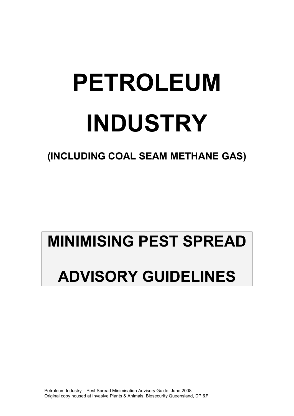# **PETROLEUM INDUSTRY**

**(INCLUDING COAL SEAM METHANE GAS)** 

# **MINIMISING PEST SPREAD ADVISORY GUIDELINES**

Petroleum Industry – Pest Spread Minimisation Advisory Guide. June 2008 Original copy housed at Invasive Plants & Animals, Biosecurity Queensland, DPI&F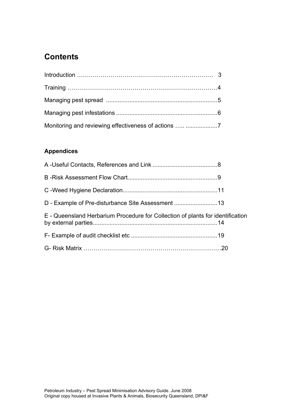# **Contents**

| Monitoring and reviewing effectiveness of actions  7 |  |
|------------------------------------------------------|--|

# **Appendices**

| E - Queensland Herbarium Procedure for Collection of plants for identification |  |
|--------------------------------------------------------------------------------|--|
|                                                                                |  |
|                                                                                |  |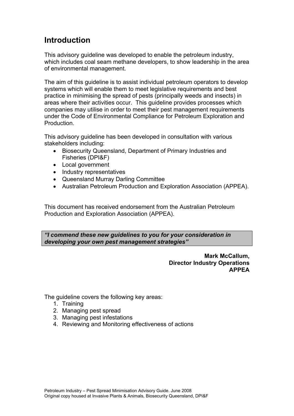# **Introduction**

This advisory guideline was developed to enable the petroleum industry, which includes coal seam methane developers, to show leadership in the area of environmental management.

The aim of this guideline is to assist individual petroleum operators to develop systems which will enable them to meet legislative requirements and best practice in minimising the spread of pests (principally weeds and insects) in areas where their activities occur. This guideline provides processes which companies may utilise in order to meet their pest management requirements under the Code of Environmental Compliance for Petroleum Exploration and Production.

This advisory guideline has been developed in consultation with various stakeholders including:

- Biosecurity Queensland, Department of Primary Industries and Fisheries (DPI&F)
- Local government
- Industry representatives
- Queensland Murray Darling Committee
- Australian Petroleum Production and Exploration Association (APPEA).

This document has received endorsement from the Australian Petroleum Production and Exploration Association (APPEA).

*"I commend these new guidelines to you for your consideration in developing your own pest management strategies"*

> **Mark McCallum, Director Industry Operations APPEA**

The quideline covers the following key areas:

- 1. Training
- 2. Managing pest spread
- 3. Managing pest infestations
- 4. Reviewing and Monitoring effectiveness of actions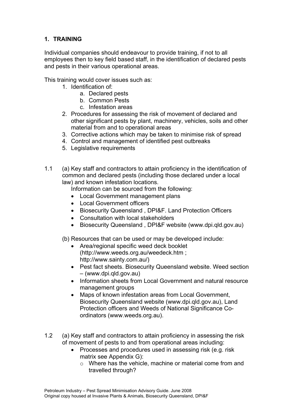#### **1. TRAINING**

Individual companies should endeavour to provide training, if not to all employees then to key field based staff, in the identification of declared pests and pests in their various operational areas.

This training would cover issues such as:

- 1. Identification of:
	- a. Declared pests
	- b. Common Pests
	- c. Infestation areas
- 2. Procedures for assessing the risk of movement of declared and other significant pests by plant, machinery, vehicles, soils and other material from and to operational areas
- 3. Corrective actions which may be taken to minimise risk of spread
- 4. Control and management of identified pest outbreaks
- 5. Legislative requirements
- 1.1 (a) Key staff and contractors to attain proficiency in the identification of common and declared pests (including those declared under a local law) and known infestation locations.

Information can be sourced from the following:

- Local Government management plans
- Local Government officers
- Biosecurity Queensland , DPI&F. Land Protection Officers
- Consultation with local stakeholders
- Biosecurity Queensland , DPI&F website (www.dpi.qld.gov.au)
- (b) Resources that can be used or may be developed include:
	- Area/regional specific weed deck booklet (http://www.weeds.org.au/weedeck.htm ; http://www.sainty.com.au/)
	- Pest fact sheets. Biosecurity Queensland website. Weed section – (www.dpi.qld.gov.au)
	- Information sheets from Local Government and natural resource management groups
	- Maps of known infestation areas from Local Government. Biosecurity Queensland website (www.dpi.qld.gov.au), Land Protection officers and Weeds of National Significance Coordinators (www.weeds.org.au).
- 1.2 (a) Key staff and contractors to attain proficiency in assessing the risk of movement of pests to and from operational areas including:
	- Processes and procedures used in assessing risk (e.g. risk matrix see Appendix G):
		- o Where has the vehicle, machine or material come from and travelled through?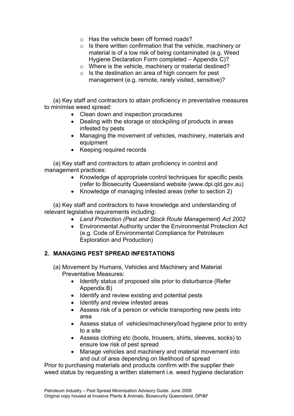- $\circ$  Has the vehicle been off formed roads?
- o Is there written confirmation that the vehicle, machinery or material is of a low risk of being contaminated (e.g. Weed Hygiene Declaration Form completed – Appendix C)?
- o Where is the vehicle, machinery or material destined?
- o Is the destination an area of high concern for pest management (e.g. remote, rarely visited, sensitive)?

 (a) Key staff and contractors to attain proficiency in preventative measures to minimise weed spread:

- Clean down and inspection procedures
- Dealing with the storage or stockpiling of products in areas infested by pests
- Managing the movement of vehicles, machinery, materials and equipment
- Keeping required records

 (a) Key staff and contractors to attain proficiency in control and management practices:

- Knowledge of appropriate control techniques for specific pests (refer to Biosecurity Queensland website (www.dpi.qld.gov.au)
- Knowledge of managing infested areas (refer to section 2)

 (a) Key staff and contractors to have knowledge and understanding of relevant legislative requirements including:

- *Land Protection (Pest and Stock Route Management) Act 2002*
- Environmental Authority under the Environmental Protection Act (e.g. Code of Environmental Compliance for Petroleum Exploration and Production)

#### **2. MANAGING PEST SPREAD INFESTATIONS**

- (a) Movement by Humans, Vehicles and Machinery and Material Preventative Measures:
	- Identify status of proposed site prior to disturbance (Refer Appendix B)
	- Identify and review existing and potential pests
	- Identify and review infested areas
	- Assess risk of a person or vehicle transporting new pests into area
	- Assess status of vehicles/machinery/load hygiene prior to entry to a site
	- Assess clothing etc (boots, trousers, shirts, sleeves, socks) to ensure low risk of pest spread
	- Manage vehicles and machinery and material movement into and out of area depending on likelihood of spread

Prior to purchasing materials and products confirm with the supplier their weed status by requesting a written statement i.e. weed hygiene declaration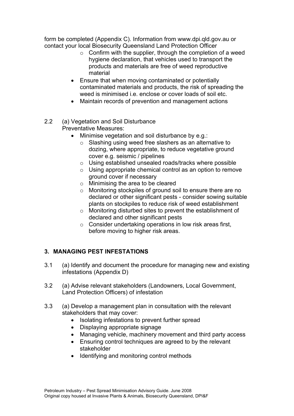form be completed (Appendix C). Information from www.dpi.qld.gov.au or contact your local Biosecurity Queensland Land Protection Officer

- $\circ$  Confirm with the supplier, through the completion of a weed hygiene declaration, that vehicles used to transport the products and materials are free of weed reproductive material
- Ensure that when moving contaminated or potentially contaminated materials and products, the risk of spreading the weed is minimised i.e. enclose or cover loads of soil etc.
- Maintain records of prevention and management actions

#### 2.2 (a) Vegetation and Soil Disturbance Preventative Measures:

- Minimise vegetation and soil disturbance by e.g.:
	- o Slashing using weed free slashers as an alternative to dozing, where appropriate, to reduce vegetative ground cover e.g. seismic / pipelines
	- o Using established unsealed roads/tracks where possible
	- o Using appropriate chemical control as an option to remove ground cover if necessary
	- o Minimising the area to be cleared
	- o Monitoring stockpiles of ground soil to ensure there are no declared or other significant pests - consider sowing suitable plants on stockpiles to reduce risk of weed establishment
	- o Monitoring disturbed sites to prevent the establishment of declared and other significant pests
	- o Consider undertaking operations in low risk areas first, before moving to higher risk areas.

#### **3. MANAGING PEST INFESTATIONS**

- 3.1 (a) Identify and document the procedure for managing new and existing infestations (Appendix D)
- 3.2 (a) Advise relevant stakeholders (Landowners, Local Government, Land Protection Officers) of infestation
- 3.3 (a) Develop a management plan in consultation with the relevant stakeholders that may cover:
	- Isolating infestations to prevent further spread
	- Displaying appropriate signage
	- Managing vehicle, machinery movement and third party access
	- Ensuring control techniques are agreed to by the relevant stakeholder
	- Identifying and monitoring control methods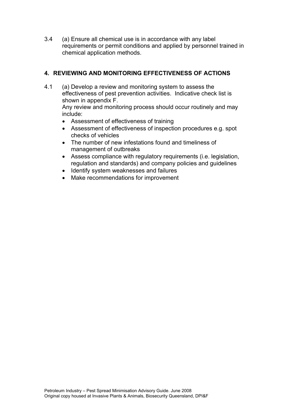3.4 (a) Ensure all chemical use is in accordance with any label requirements or permit conditions and applied by personnel trained in chemical application methods.

#### **4. REVIEWING AND MONITORING EFFECTIVENESS OF ACTIONS**

4.1 (a) Develop a review and monitoring system to assess the effectiveness of pest prevention activities. Indicative check list is shown in appendix F.

Any review and monitoring process should occur routinely and may include:

- Assessment of effectiveness of training
- Assessment of effectiveness of inspection procedures e.g. spot checks of vehicles
- The number of new infestations found and timeliness of management of outbreaks
- Assess compliance with regulatory requirements (i.e. legislation, regulation and standards) and company policies and guidelines
- Identify system weaknesses and failures
- Make recommendations for improvement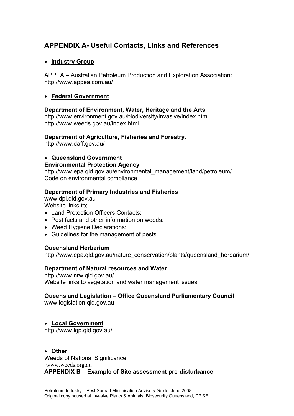## **APPENDIX A- Useful Contacts, Links and References**

#### • **Industry Group**

APPEA – Australian Petroleum Production and Exploration Association: http://www.appea.com.au/

#### • **Federal Government**

#### **Department of Environment, Water, Heritage and the Arts**

http://www.environment.gov.au/biodiversity/invasive/index.html http://www.weeds.gov.au/index.html

#### **Department of Agriculture, Fisheries and Forestry.**

http://www.daff.gov.au/

#### • **Queensland Government**

#### **Environmental Protection Agency**

http://www.epa.gld.gov.au/environmental\_management/land/petroleum/ Code on environmental compliance

#### **Department of Primary Industries and Fisheries**

www.dpi.qld.gov.au Website links to:

- Land Protection Officers Contacts:
- Pest facts and other information on weeds:
- Weed Hygiene Declarations:
- Guidelines for the management of pests

#### **Queensland Herbarium**

http://www.epa.qld.gov.au/nature\_conservation/plants/queensland\_herbarium/

#### **Department of Natural resources and Water**

http://www.nrw.qld.gov.au/ Website links to vegetation and water management issues.

#### **Queensland Legislation – Office Queensland Parliamentary Council**

www.legislation.qld.gov.au

#### • **Local Government**

http://www.lgp.qld.gov.au/

• **Other** Weeds of National Significance www.weeds.org.au

### **APPENDIX B – Example of Site assessment pre-disturbance**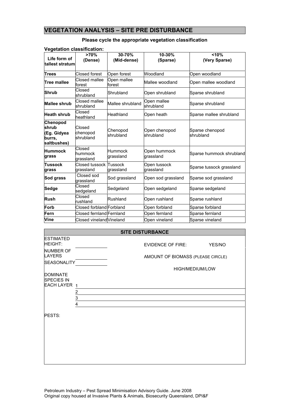#### **VEGETATION ANALYSIS – SITE PRE DISTURBANCE**

#### **>70% 30-70% 10-30% <10% (Dense) (Mid-dense) (Sparse) (Very Sparse) Life form of tallest stratum Trees** Closed forest Open forest Woodland Open woodland **Tree mallee** Closed mallee forest Open mallee Open mallee Mallee woodland Open mallee woodland **Shrub** Closed<br>
shrubland Shrubland **Open shrubland** Sparse shrubland **Mallee shrub Closed mallee** Mallee shrubland Open mallee Sparse shrubland **Heath shrub Closed** Heathland **Open heath** Sparse mallee shrubland **Chenopod shrub (Eg. Gidyea burrs, saltbushes)**  Closed chenopod shrubland Chenopod shrubland Open chenopod shrubland Sparse chenopod shrubland **Hummock grass**  Closed hummock grassland **Hummock** grassland Open hummock Open numnock<br>grassland Sparse hummock shrubland **Tussock grass**  Closed tussock grassland Tussock grassland Open tussock Sparse tussock grassland<br>grassland **Sod grass Closed sod grass** grassland Sod grassland Open sod grassland Sparse sod grassland **Sedge** Closed<br> **Sedge** sedgeland sedgeland Sedgeland Open sedgeland Sparse sedgeland **Rush** Closed<br>**Rush** rushland Rushland **Open rushland** Sparse rushland **Forb** Closed forbland Forbland Open forbland Sparse forbland **Fern Closed fernland Fernland Open fernland** Sparse fernland **Vine Closed vineland Vineland Open vineland** Sparse vineland

#### **Please cycle the appropriate vegetation classification**

|                                      |                | <b>SITE DISTURBANCE</b> |                                   |        |
|--------------------------------------|----------------|-------------------------|-----------------------------------|--------|
| <b>ESTIMATED</b><br><b>HEIGHT:</b>   |                |                         | EVIDENCE OF FIRE:                 | YES/NO |
| <b>NUMBER OF</b><br><b>LAYERS</b>    |                |                         | AMOUNT OF BIOMASS (PLEASE CIRCLE) |        |
| <b>SEASONALITY</b>                   |                |                         |                                   |        |
|                                      |                |                         | HIGH/MEDIUM/LOW                   |        |
| <b>DOMINATE</b><br><b>SPECIES IN</b> |                |                         |                                   |        |
| EACH LAYER 1                         |                |                         |                                   |        |
|                                      | 2              |                         |                                   |        |
|                                      | 3              |                         |                                   |        |
|                                      | $\overline{4}$ |                         |                                   |        |
| <b>PESTS:</b>                        |                |                         |                                   |        |

#### **Vegetation classification:**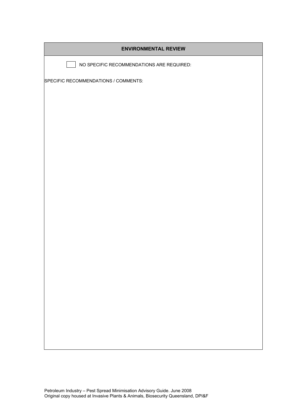| <b>ENVIRONMENTAL REVIEW</b>               |
|-------------------------------------------|
| NO SPECIFIC RECOMMENDATIONS ARE REQUIRED: |
| SPECIFIC RECOMMENDATIONS / COMMENTS:      |
|                                           |
|                                           |
|                                           |
|                                           |
|                                           |
|                                           |
|                                           |
|                                           |
|                                           |
|                                           |
|                                           |
|                                           |
|                                           |
|                                           |
|                                           |
|                                           |
|                                           |
|                                           |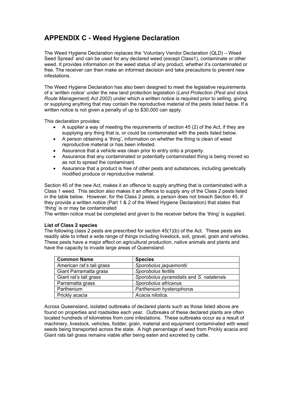# **APPENDIX C - Weed Hygiene Declaration**

The Weed Hygiene Declaration replaces the 'Voluntary Vendor Declaration (QLD) – Weed Seed Spread' and can be used for any declared weed (except Class1), contaminate or other weed. It provides information on the weed status of any product, whether it's contaminated or free. The receiver can then make an informed decision and take precautions to prevent new infestations.

The Weed Hygiene Declaration has also been designed to meet the legislative requirements of a 'written notice' under the new land protection legislation (*Land Protection (Pest and stock Route Management) Act 2002*) under which a written notice is required prior to selling, giving or supplying anything that may contain the reproductive material of the pests listed below. If a written notice is not given a penalty of up to \$30,000 can apply.

This declaration provides:

- A supplier a way of meeting the requirements of section 45 (2) of the Act, if they are supplying any thing that is, or could be contaminated with the pests listed below.
- A person obtaining a 'thing', information on whether the thing is clean of weed reproductive material or has been infested.
- Assurance that a vehicle was clean prior to entry onto a property.
- Assurance that any contaminated or potentially contaminated thing is being moved so as not to spread the contaminant.
- Assurance that a product is free of other pests and substances, including genetically modified produce or reproductive material.

Section 45 of the new Act, makes it an offence to supply anything that is contaminated with a Class 1 weed. This section also makes it an offence to supply any of the Class 2 pests listed in the table below. However, for the Class 2 pests, a person does not breach Section 45, if they provide a written notice (Part 1 & 2 of the Weed Hygiene Declaration) that states that 'thing' is or may be contaminated

The written notice must be completed and given to the receiver before the 'thing' is supplied.

#### **List of Class 2 species**

The following class 2 pests are prescribed for section 45(1)(b) of the Act. These pests are readily able to infest a wide range of things including livestock, soil, gravel, grain and vehicles. These pests have a major effect on agricultural production, native animals and plants and have the capacity to invade large areas of Queensland.

| <b>Common Name</b>        | <b>Species</b>                           |
|---------------------------|------------------------------------------|
| American rat's tail grass | Sporobolus jaquemontii                   |
| Giant Parramatta grass    | Sporobolus fertilis                      |
| Giant rat's tail grass    | Sporobolus pyramidalis and S. natalensis |
| Parramatta grass          | Sporobolus africanus                     |
| Parthenium                | Parthenium hysterophorus                 |
| Prickly acacia            | Acacia nilotica.                         |

Across Queensland, isolated outbreaks of declared plants such as those listed above are found on properties and roadsides each year. Outbreaks of these declared plants are often located hundreds of kilometres from core infestations. These outbreaks occur as a result of machinery, livestock, vehicles, fodder, grain, material and equipment contaminated with weed seeds being transported across the state. A high percentage of seed from Prickly acacia and Giant rats tail grass remains viable after being eaten and excreted by cattle.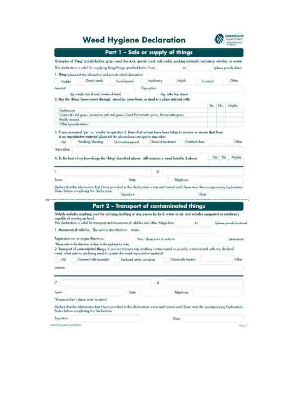# **Weed Hygiene Declaration**



|                                                                                                                                                                                                              | Part 1 - Salo or supply of things |                  |         |                                              |
|--------------------------------------------------------------------------------------------------------------------------------------------------------------------------------------------------------------|-----------------------------------|------------------|---------|----------------------------------------------|
| Examples of 'thing' include fodder, grain, seed, livestock, gravel, sand, seel, molch, packing material, machinery, sehicles, or wateri                                                                      |                                   |                  |         |                                              |
| This declaration is safed for supplying thing/things spectred below from                                                                                                                                     | kis                               |                  |         | (please provide dates).                      |
| J. Thing (please tick the relevant box and provide a brief description)                                                                                                                                      |                                   |                  |         |                                              |
| Grain/seeds<br>Modinery<br>Send/gravel<br>Fockler                                                                                                                                                            | Moldi                             | <b>Unimized:</b> |         | Odm                                          |
| Description<br>Arriotarii                                                                                                                                                                                    |                                   |                  |         |                                              |
| (Eq. uniple, size of local, monker of ment)<br>Thy, anthe, hoy, doine)                                                                                                                                       |                                   |                  |         |                                              |
| 2. Has the 'thing' bean moved through, idored in, come from, or used in a place infected with!                                                                                                               |                                   |                  |         |                                              |
| Partheensure                                                                                                                                                                                                 |                                   | Yea              | No      | Maybe                                        |
| Giant rafe tal graw, American rafe tall graw, Genet Parmmatta graw. Parramatta graws<br>Prickly ecacin.<br>Offset (provide details)                                                                          |                                   |                  |         |                                              |
|                                                                                                                                                                                                              |                                   |                  |         |                                              |
| . 3. If you answered 'yes' or 'maybe' in question 2, then what actions have been taken to remove or ensure that there.<br>is no reproductive material (diens tok the relevant house and questy man tylen)    |                                   |                  |         |                                              |
| Wishing/decising<br>Cherologi treatment<br>N<br>Quarantine period                                                                                                                                            | Gerthed clean                     |                  |         | Other                                        |
| Direct token                                                                                                                                                                                                 |                                   |                  |         |                                              |
|                                                                                                                                                                                                              |                                   |                  | Yes: No | Movbe                                        |
| 4. In the best of my lean-lodge the 'thing' described above: still contains a weed listed in 2 above                                                                                                         |                                   |                  |         |                                              |
| 诚                                                                                                                                                                                                            |                                   |                  |         |                                              |
|                                                                                                                                                                                                              |                                   |                  |         |                                              |
| Town<br>State<br>Totephone                                                                                                                                                                                   |                                   |                  |         |                                              |
| Declare that the information that I have provided in this declaration is true and carrect and I have read the accompanying Explainitory<br>Nates belore completing this Declaration.                         |                                   |                  |         |                                              |
| <b>Agnoture</b>                                                                                                                                                                                              | Dots                              |                  |         |                                              |
|                                                                                                                                                                                                              |                                   |                  |         |                                              |
|                                                                                                                                                                                                              |                                   |                  |         |                                              |
| Part 2 - Transport of contaminated things                                                                                                                                                                    |                                   |                  |         |                                              |
| Nebide indudes anything used his carrying anything or any person by land, water or air, and indudes equipment or morbinery                                                                                   |                                   |                  |         |                                              |
| capable of moving on land).<br>This declaration is wokid for transport and travement of vehicles and other things from                                                                                       | B6                                |                  |         |                                              |
|                                                                                                                                                                                                              |                                   |                  |         |                                              |
| 1. Movement of vehicles. The vehicle described as: Make                                                                                                                                                      |                                   |                  |         |                                              |
| Registration no. or engine/frame ros.<br>Was "claim price to autry to                                                                                                                                        |                                   |                  |         |                                              |
| "Places raise to the defection of clean in the explanatory notes                                                                                                                                             |                                   |                  |         |                                              |
| 2. Iransport of contaminated things. If you are transporting anything contaminated or possibly contaminated with any declared<br>weed, what actions are being used to contain the weed reproductive material |                                   |                  |         |                                              |
| N<br>Covered with targetubs<br>Enclosed within container                                                                                                                                                     | Chemically freatmy                |                  |         |                                              |
| Artines                                                                                                                                                                                                      |                                   |                  |         |                                              |
|                                                                                                                                                                                                              |                                   |                  |         | Silaasa pumida baratam<br>likitotol<br>Other |
|                                                                                                                                                                                                              |                                   |                  |         |                                              |
| 4<br>U,                                                                                                                                                                                                      |                                   |                  |         |                                              |
| <b>Traves</b><br>State.                                                                                                                                                                                      | lelephone                         |                  |         |                                              |
| "If some as Port I places with "as slowe"                                                                                                                                                                    |                                   |                  |         |                                              |
| Declare that the information that I have provided in this declaration is true and current and I have read the accompanying Exploratory<br>Note belone completing this Decision                               |                                   |                  |         |                                              |
| Trightpheni<br>Dies                                                                                                                                                                                          |                                   |                  |         |                                              |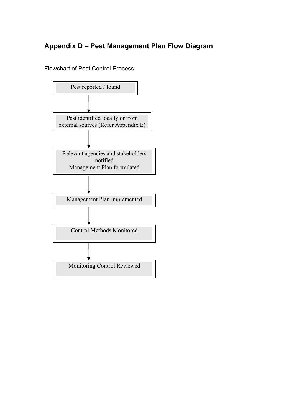## **Appendix D – Pest Management Plan Flow Diagram**

Flowchart of Pest Control Process

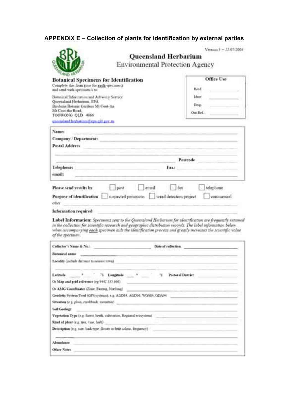#### **APPENDIX E – Collection of plants for identification by external parties**

|                                                                                                                                                                                                                                                                                                                                              | Version $1 - 22.022004$<br>Queensland Herbarium<br><b>Environmental Protection Agency</b>                                                                                                                                                                                                                                                                         |
|----------------------------------------------------------------------------------------------------------------------------------------------------------------------------------------------------------------------------------------------------------------------------------------------------------------------------------------------|-------------------------------------------------------------------------------------------------------------------------------------------------------------------------------------------------------------------------------------------------------------------------------------------------------------------------------------------------------------------|
| <b>Botanical Specimens for Identification</b><br>Complete thas form (one for each specimen).                                                                                                                                                                                                                                                 | Office Live                                                                                                                                                                                                                                                                                                                                                       |
| and send with specimen's to:                                                                                                                                                                                                                                                                                                                 | Read.                                                                                                                                                                                                                                                                                                                                                             |
| Botanical Information and Advisory Service<br>Queensland Herbarium, EPA<br>Brisbane Botanic Gardens Mt Coot-tha-<br>Mt Coot-the Road.<br>TOOWONG QLD 4066                                                                                                                                                                                    | ldeer.<br>Desp.<br>Our Ref:                                                                                                                                                                                                                                                                                                                                       |
| unemained bethanium@epa.gld.gev.m.                                                                                                                                                                                                                                                                                                           |                                                                                                                                                                                                                                                                                                                                                                   |
| Name:                                                                                                                                                                                                                                                                                                                                        | the contract of the contract of the contract of the contract of the contract of the contract of the contract of                                                                                                                                                                                                                                                   |
| Company / Department:                                                                                                                                                                                                                                                                                                                        |                                                                                                                                                                                                                                                                                                                                                                   |
| Postal Address                                                                                                                                                                                                                                                                                                                               |                                                                                                                                                                                                                                                                                                                                                                   |
|                                                                                                                                                                                                                                                                                                                                              |                                                                                                                                                                                                                                                                                                                                                                   |
|                                                                                                                                                                                                                                                                                                                                              | Postcode 2000 and 2000 and 2000                                                                                                                                                                                                                                                                                                                                   |
| Telephone:                                                                                                                                                                                                                                                                                                                                   | Fax: and the contract of the contract of the contract of the contract of the contract of the contract of the contract of the contract of the contract of the contract of the contract of the contract of the contract of the c<br><u> The Common School and Common School and Common School and Common School and Common School and Common School and</u>         |
| email:                                                                                                                                                                                                                                                                                                                                       |                                                                                                                                                                                                                                                                                                                                                                   |
| Please send results by<br>ather                                                                                                                                                                                                                                                                                                              | fax<br>post<br>télephone<br>email<br>Purpose of identification in unpected portonous weed detection project<br>commercial<br><u> Andrew Maria (Andrew Maria (Andrew Maria (Andrew Maria (Andrew Maria (Andrew Maria (Andrew Maria (Andrew Maria (Andrew Maria (Andrew Maria (Andrew Maria (Andrew Maria (Andrew Maria (Andrew Maria (Andrew Maria (Andrew Mar</u> |
|                                                                                                                                                                                                                                                                                                                                              | Label Information: Spectment tent to the Queentland Herbarum for identification are frequently retained<br>in the collection for scientific vesearch and geographic distribution records. The label information below<br>when accompanying each specimen aids the identification process and greatly increases the scientific value                               |
|                                                                                                                                                                                                                                                                                                                                              | Date of collection:                                                                                                                                                                                                                                                                                                                                               |
|                                                                                                                                                                                                                                                                                                                                              |                                                                                                                                                                                                                                                                                                                                                                   |
|                                                                                                                                                                                                                                                                                                                                              |                                                                                                                                                                                                                                                                                                                                                                   |
|                                                                                                                                                                                                                                                                                                                                              | Pastoral District<br>Longitude:<br>Π.<br>Gredetic System Used (GPS systems): e.g. AGD#4. AGD64. WG884. GDA94<br>Vegetation Type (e.g. forest, heath, calintumon, Regional ecosystem)<br>Deteription (e.g. size, back type, flower or fruit colour, Bequency)                                                                                                      |
| Information required<br>of the spectmen.<br><b>Botanical name</b><br>Locality (include distance to negest towa)<br>Latitude<br>Or Map and grid reference (eg 9442.333.666)<br>Or AMG Coordinates (Zone, Eastmg, Northma)<br>Situation (e.g. plain, creekback, mountain)<br>Soil Geology<br>Kind of plant (e.g. nee, vase, herb)<br>Abundance |                                                                                                                                                                                                                                                                                                                                                                   |

 $\mathbf{u} = \mathbf{u}$  and  $\mathbf{u} = \mathbf{u}$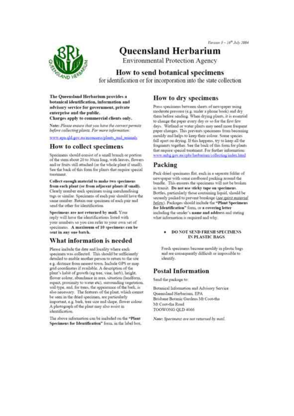

# **Oueensland Herbarium**

**Environmental Protection Agency** 

## How to send botanical specimens

for identification or for incorporation into the state collection

The Queensland Herbarium provides a botanical identification, information and advisory service for government, private enterprise and the public.

Charges apply to commercial clients only.

Notes Please enture that you have the correct permits before collecting plants. For more information:

noon apa ald gov.megooseess.plants\_nud\_animals

#### How to collect specimens

Specimens should consist of a small branch or portion of the stem about 20 to 30cm long, with leaves. flowers and or fruits still attached (or the whole plant if small). See the back of this form for plants that require special treatment.

Collect enough material to make two specimens from each plant (or from adjacent plants if small). Clearly number each specimen using merchandising tags or similar. Specimens of each pair should have the same number. Retain one specimen of each pair and send the other for identification.

Specimens are not returned by mail. Your reply will have the identifications listed with your numbers so you can refer to your own set of specimens. A maximum of 10 specimens can be sent in any one batch.

#### What information is needed

Planse melride the date and locality where each specimen was collected. This should be sufficiently detailed to enable another person to return to the site. e.g. distance from nearest town. Include GPS or map grid coordinates if available. A description of the plant's liabit of growth (eg tree, vine, herb), height, flower colour, abundance in srea, situation (landform, aspect, proximity to water etc), surrounding vegetation, soil type, and, for trees, the appearance of the bark, is also necessary. The features of the plant, which cannot be seen in the dried specimen, are particularly important, e.g. bark, tree size and shape, flower colour. A photograph of the plant may also seriet in identification.

The above information can be included on the "Plant" Specimens for Identification" form, in the label box.

#### How to dry specimens

Press specimens between shrets of newspaper ming moderate pressure (e.g. under a phone book) and dry them before sending. When drying plants, it is essential to change the paper every day or so far the first few days. Wetland or water plants may need more frequent poper changes. This prevents specimens from becoming mouldy and helps to keep their colour. Some species fall apart on drying. If this happens, try to keep all the fragments together. See the back of this form for plants that require special treatment. For further information: www.anbg.gov.micphelberbarium/collecting/index.html

#### Packing

Pack dried specimens flat, each in a separate folder of newspaper with some cardboard packing around the bundle. This ensures the specimens will not be broken in trainit. Do not use sticky tape on specimens. Bottles, particularly those containing liquid, should be securely packed to prevent breakage (gee mint material below). Packages should include the "Plant Specimens for Identification" form, or a covering letter including the sender's name and address and stating what information is required and why.

#### **DO NOT SEND FRESH SPECIMENS** IN PLASTIC BAGS

Fresh specimens become mouldy in plastic bogs and are convequently difficult or impossible to idesrtify.

#### **Postal Information**

Send the package to:

Botanical Information and Advisory Service Queensland Herbarium, EPA Brishane Botimic Gardens Mt Coot-tha Mt Coot-tha Road TOOWONG QLD 4066

Note: Speciment are not returned by mail.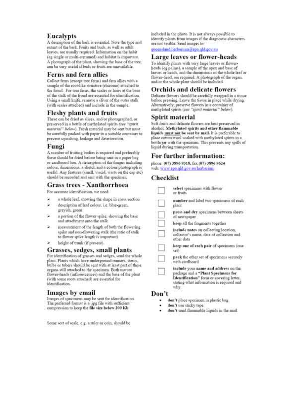#### **Eucalvpts**

A description of the bark is essential. Note the type and extent of the bark. Fruits and buds, as well as adult leaves, are usually required. Information on the faibit (eg single or multi-stemmed) and habitat is important. A photograph of the plant, showing the base of the tree. enn be very useful if buds or fruits are tauwailable.

#### Ferns and fern allies

Collect ferns (except tree ferms) and fem allies with a uniple of the root-like structure (rhizome) attached to the frond. For tree ferns, the scales or bairs at the base of the stalk of the frond are essential for identification. Using a small knife, remove a sliver of the outer stalk (with scales attached) and include in the sample.

#### **Fleshy plants and fruits**

These can be dried as slices, and/or photographed, or preserved in a bottle of methylated spirits case "apovir. material" below). Fresh material may be sent but must be carefully packed with paper in a suitable container to prevent squashing, leakage and deterioration.

#### Fungi

A sumber of fruiting bodies is required and preferably these should be dried before being sent in a paper hag or cardboard box. A description of the fungus including colour, dimensions, a sketch and a colour photograph is useful. Any features (unell, viscid, warts on the cap etc) should be recorded and sent with the specimen.

#### **Grass trees - Xanthorrhoea**

For accurate identification, we need

- ¥ a whole leaf, showing the slupe in cross section
- × description of leaf colour, i.e. blue-green. grevish, green
- a portion of the flower spike, showing the base and attachment onto the stalk
- measurement of the length of both the flowering spike and non-flowering stalk (the ratio of stalk to flower spike length is important)
- height of trunk (if present).

#### Grasses, sedges, small plants

For identification of grasses and sedges, send the whole plant. Plants which have underground runners, stems,<br>bulbs or tubers should be sent with at least part of these organs still attached to the specimen. Both mature flower-heads (inflorescences) and the base of the plant (with some roots attached) are essential for identification.

#### Images by email

Images of specimens may be sent for identification. The preferred format is a .jpg file with sufficient compression to keep the file size below 200 Kb.

Some sort of scale, e.g. a stiler or coin, should be

included in the photo. It is not slways possible to identify plants from images if the diagnostic characters are not visible. Send images to:

#### queensland.herbarium@epa.qld.gov.mr

#### **Large leaves or flower-heads**

To identify plants with very large leaves or flowerheads (eg palins), a sample of the apex and base of leaves or heads, and the dimensions of the whole leaf or flower-head, see required. A photograph of the organ,<br>and or the whole plant should be included.

#### **Orchids and delicate flowers**

Delicate flowers should be carefully wrapped in a tosue before pressing. Leave the tissue in place while drying. Alternatively, preserve flowers in a container of methylated spirits (not "spirit material" below).

#### Spirit material

Soft fruits and delicate flowers are best preserved in sleohol. Methylated spirits and other flammable liquids must not be sent by mail. It is preferable to place cutton wool soaked with methylated spirits in a bottle jar with the specimen. This prevents any spills of liquid during transportation.

#### For further information:

phone (07) 3896 9318, fax (07) 3896 9624 web: www.eps.qld.gov.au.herbarinm

#### **Checklist**

| select specimess with flower<br>ar fruits                                                                                                                                  |
|----------------------------------------------------------------------------------------------------------------------------------------------------------------------------|
| number and label two w<br>plant.                                                                                                                                           |
| press and dry specimens between sheets<br>of newspaper                                                                                                                     |
| keep all the fragments together                                                                                                                                            |
| include notes on collecting location.<br>collector's name, date of collection and<br>other data                                                                            |
| keep one of each pair of specimens (one<br>let)                                                                                                                            |
| pack the other set of specimens securely<br>frnodbuin divw                                                                                                                 |
| include your name and address on the<br>package and a "Plant Specimens for<br>Identification" form or covering letter,<br>tating what information is required and<br>stry. |
|                                                                                                                                                                            |

- don't place specimen in plastic bag ٠
- don't use sticky tape.
- don't send flammable liquids in the mail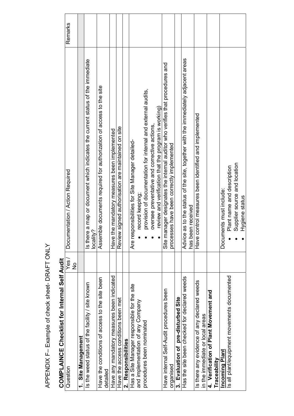| <b>COMPLAINCE Checklist for Internal Self Audit</b>        |                       |                                                                                             |         |
|------------------------------------------------------------|-----------------------|---------------------------------------------------------------------------------------------|---------|
| Question                                                   | Yes/<br>$\frac{1}{2}$ | Documentation / Action Required                                                             | Remarks |
| <b>Site Management</b>                                     |                       |                                                                                             |         |
| Is the weed status of the facility / site known            |                       | Is there a map or document which indicates the current status of the immediate<br>locality? |         |
| Have the conditions of access to the site been<br>detailed |                       | Assemble documents required for authorization of access to the site                         |         |
| Have any mandatory measures been indicated                 |                       | Have the mandatory measures been implemented                                                |         |
| Have the access conditions been met                        |                       | lew signed authorisation are maintained on site<br>Revi                                     |         |
| 2. Responsibilities                                        |                       |                                                                                             |         |
| Has a Site Manager responsible for the site                |                       | responsibilities for Site Manager detailed-<br>Are                                          |         |
| and implementation of any Company                          |                       | record keeping;                                                                             |         |
| procedures been nominated                                  |                       | provision of documentation for internal and external audits,                                |         |
|                                                            |                       | oversee preventative and corrective actions,                                                |         |
|                                                            |                       | review and verification that the program is working)                                        |         |
| Have internal Self-Audit procedures been                   |                       | manager designates the internal auditor who verifies that procedures and<br>Site            |         |
| organised                                                  |                       | processes have been correctly implemented                                                   |         |
| Evaluation of pre-disturbed Site<br>က                      |                       |                                                                                             |         |
| Has the site been checked for declared weeds               |                       | Advice as to the status of the site, together with the immediately adjacent areas           |         |
|                                                            |                       | been received<br>has                                                                        |         |
| Is there any evidence of any declared weeds                |                       | Have control measures been identified and implemented                                       |         |
| in the immediate or local areas                            |                       |                                                                                             |         |
| 4. Verification of Plant Movement and                      |                       |                                                                                             |         |
| Traceability                                               |                       |                                                                                             |         |
| <b>Incoming Plant</b>                                      |                       | Documents must include:                                                                     |         |
| Is all plant/equipment movements documented                |                       | Plant name and description                                                                  |         |
|                                                            |                       | Supplier source and location                                                                |         |
|                                                            |                       | Hygiene status                                                                              |         |

# APPENDIX F- Example of check sheet- DRAFT ONLY APPENDIX F– Example of check sheet- DRAFT ONLY

# **COMPLAINCE Checklist for Internal Self Audit**  …م ∌اه⊇ ا،  $\frac{1}{2}$ ے کے بارے اور ا **COMPLETED**

Τ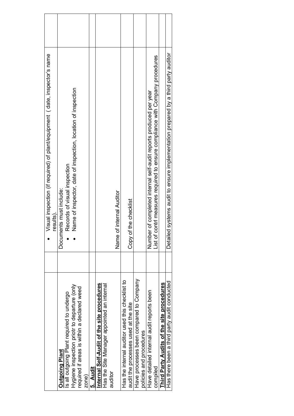|                                                 | Visual inspection (if required) of plant/equipment (date, inspector's name<br>results) |  |
|-------------------------------------------------|----------------------------------------------------------------------------------------|--|
| <b>Outgoing Plant</b>                           | Documents must include:                                                                |  |
| Is all outgoing Plant required to undergo       | Records of visual inspection                                                           |  |
| Hygiene inspection priotr to departure (only    | Name of inspector, date of inspection, location of inspection                          |  |
| required if areas is within a declared weed     |                                                                                        |  |
| zone)                                           |                                                                                        |  |
| 5. Audit                                        |                                                                                        |  |
| Internal Self-Audit of the site procedures      |                                                                                        |  |
| Has the Site Manager appointed an internal      |                                                                                        |  |
| auditor                                         |                                                                                        |  |
|                                                 | of internal Auditor<br>Name                                                            |  |
| Has the internal auditor used this checklist to |                                                                                        |  |
| audit the processes used at the site            | of the checklist<br>Copy                                                               |  |
| Have processes been compared to Company         |                                                                                        |  |
| policies and procedures                         |                                                                                        |  |
| Have detailed internal audit reports been       | Number of completed internal self-audit reports produced per year                      |  |
| compiled                                        | contri measures required to ensure compliance with Company procedures<br>List of       |  |
| Third Party Audits of the site procedures       |                                                                                        |  |
| Has there been a third party audit conducted    | Detailed systems audit to ensure implementation prepared by a third party auditor      |  |
|                                                 |                                                                                        |  |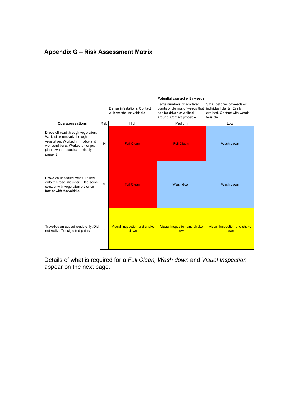#### **Appendix G – Risk Assessment Matrix**

|                                                                                                                                                                                     |      | Dense infestations. Contact<br>with weeds unavoidable | Large numbers of scattered<br>plants or clumps of weeds that<br>can be driven or walked<br>around. Contact probable | Small patches of weeds or<br>individual plants. Easily<br>avoided. Contact with weeds<br>feasible. |
|-------------------------------------------------------------------------------------------------------------------------------------------------------------------------------------|------|-------------------------------------------------------|---------------------------------------------------------------------------------------------------------------------|----------------------------------------------------------------------------------------------------|
| Operators actions                                                                                                                                                                   | Risk | High                                                  | Medium                                                                                                              | Low                                                                                                |
| Drove off road through vegetation.<br>Walked extensively through<br>vegetation. Worked in muddy and<br>wet conditions. Worked amongst<br>plants where seeds are visibly<br>present. | H    | <b>Full Clean</b>                                     | <b>Full Clean</b>                                                                                                   | Wash down                                                                                          |
| Drove on unsealed roads. Pulled<br>onto the road shoulder. Had some<br>contact with vegetation either on<br>foot or with the vehicle.                                               | M    | <b>Full Clean</b>                                     | Wash down                                                                                                           | Wash down                                                                                          |
| Travelled on sealed roads only. Did<br>not walk off designated paths.                                                                                                               | L    | Visual Inspection and shake<br>down                   | Visual Inspection and shake<br>down                                                                                 | Visual Inspection and shake<br>down                                                                |

#### **Potential contact with weeds**

Details of what is required for a *Full Clean, Wash down* and *Visual Inspection*  appear on the next page.